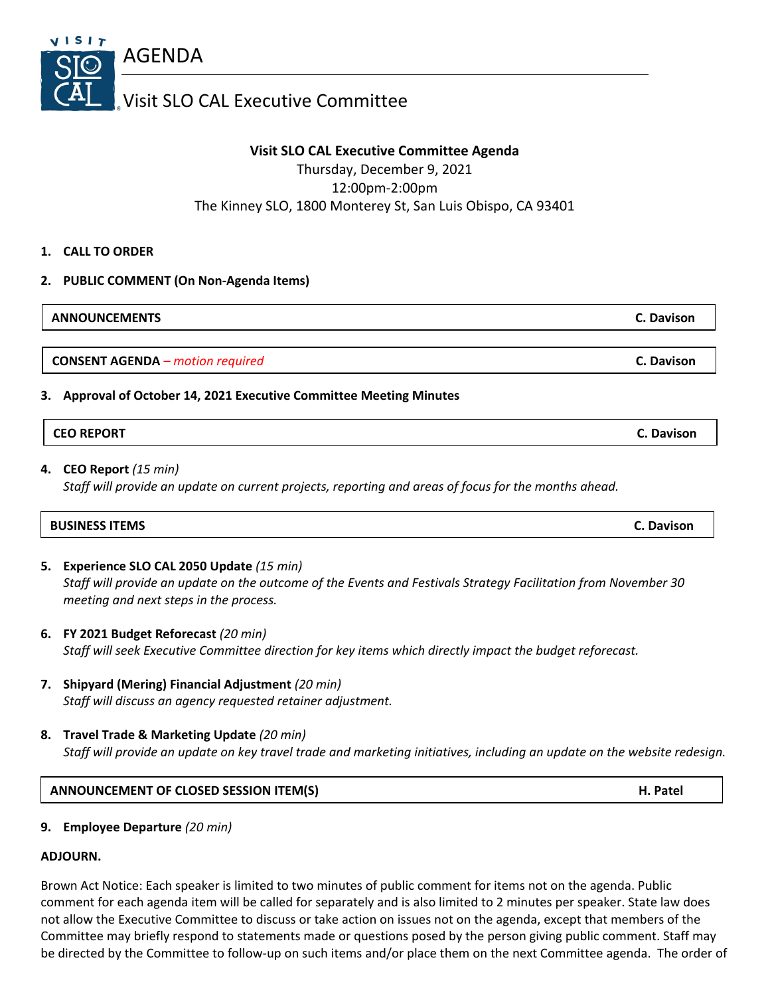

# **Visit SLO CAL Executive Committee Agenda**

Thursday, December 9, 2021 12:00pm-2:00pm The Kinney SLO, 1800 Monterey St, San Luis Obispo, CA 93401

**1. CALL TO ORDER**

## **2. PUBLIC COMMENT (On Non-Agenda Items)**

| <b>ANNOUNCEMENTS</b><br>C. Davison |  |
|------------------------------------|--|
|------------------------------------|--|

**CONSENT AGENDA** *– motion required* **C. Davison**

## **3. Approval of October 14, 2021 Executive Committee Meeting Minutes**

| <b>CEO REPORT</b> | C. Davison |
|-------------------|------------|
|-------------------|------------|

## **4. CEO Report** *(15 min)*

*Staff will provide an update on current projects, reporting and areas of focus for the months ahead.*

| <b>C. Davison</b> |
|-------------------|
|                   |

- **5. Experience SLO CAL 2050 Update** *(15 min) Staff will provide an update on the outcome of the Events and Festivals Strategy Facilitation from November 30 meeting and next steps in the process.*
- **6. FY 2021 Budget Reforecast** *(20 min) Staff will seek Executive Committee direction for key items which directly impact the budget reforecast.*
- **7. Shipyard (Mering) Financial Adjustment** *(20 min) Staff will discuss an agency requested retainer adjustment.*
- **8. Travel Trade & Marketing Update** *(20 min) Staff will provide an update on key travel trade and marketing initiatives, including an update on the website redesign.*

### **ANNOUNCEMENT OF CLOSED SESSION ITEM(S) H. Patel**

**9. Employee Departure** *(20 min)*

### **ADJOURN.**

Brown Act Notice: Each speaker is limited to two minutes of public comment for items not on the agenda. Public comment for each agenda item will be called for separately and is also limited to 2 minutes per speaker. State law does not allow the Executive Committee to discuss or take action on issues not on the agenda, except that members of the Committee may briefly respond to statements made or questions posed by the person giving public comment. Staff may be directed by the Committee to follow-up on such items and/or place them on the next Committee agenda. The order of